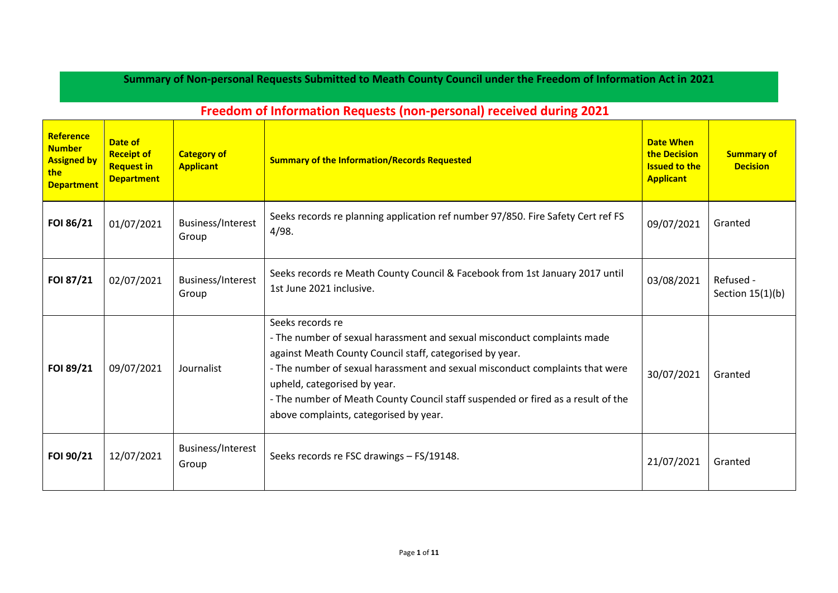## **Summary of Non-personal Requests Submitted to Meath County Council under the Freedom of Information Act in 2021**

| <b>Reference</b><br><b>Number</b><br><b>Assigned by</b><br>the<br><b>Department</b> | Date of<br><b>Receipt of</b><br><b>Request in</b><br><b>Department</b> | <b>Category of</b><br><b>Applicant</b> | <b>Summary of the Information/Records Requested</b>                                                                                                                                                                                                                                                                                                                                                   | <b>Date When</b><br>the Decision<br><b>Issued to the</b><br><b>Applicant</b> | <b>Summary of</b><br><b>Decision</b> |
|-------------------------------------------------------------------------------------|------------------------------------------------------------------------|----------------------------------------|-------------------------------------------------------------------------------------------------------------------------------------------------------------------------------------------------------------------------------------------------------------------------------------------------------------------------------------------------------------------------------------------------------|------------------------------------------------------------------------------|--------------------------------------|
| FOI 86/21                                                                           | 01/07/2021                                                             | Business/Interest<br>Group             | Seeks records re planning application ref number 97/850. Fire Safety Cert ref FS<br>4/98.                                                                                                                                                                                                                                                                                                             | 09/07/2021                                                                   | Granted                              |
| FOI 87/21                                                                           | 02/07/2021                                                             | Business/Interest<br>Group             | Seeks records re Meath County Council & Facebook from 1st January 2017 until<br>1st June 2021 inclusive.                                                                                                                                                                                                                                                                                              | 03/08/2021                                                                   | Refused -<br>Section $15(1)(b)$      |
| FOI 89/21                                                                           | 09/07/2021                                                             | Journalist                             | Seeks records re<br>- The number of sexual harassment and sexual misconduct complaints made<br>against Meath County Council staff, categorised by year.<br>- The number of sexual harassment and sexual misconduct complaints that were<br>upheld, categorised by year.<br>- The number of Meath County Council staff suspended or fired as a result of the<br>above complaints, categorised by year. | 30/07/2021                                                                   | Granted                              |
| FOI 90/21                                                                           | 12/07/2021                                                             | Business/Interest<br>Group             | Seeks records re FSC drawings - FS/19148.                                                                                                                                                                                                                                                                                                                                                             | 21/07/2021                                                                   | Granted                              |

## **Freedom of Information Requests (non-personal) received during 2021**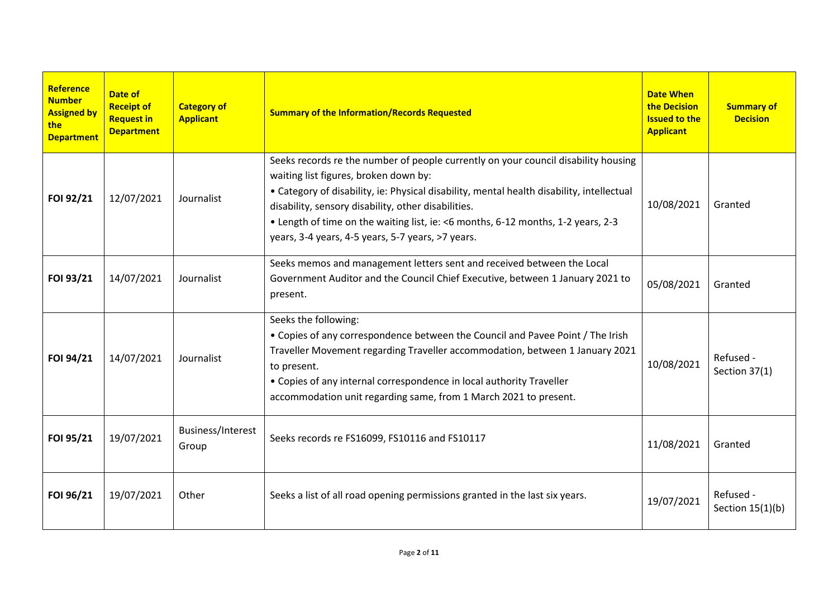| <b>Reference</b><br><b>Number</b><br><b>Assigned by</b><br>the<br><b>Department</b> | Date of<br><b>Receipt of</b><br><b>Request in</b><br><b>Department</b> | <b>Category of</b><br><b>Applicant</b> | <b>Summary of the Information/Records Requested</b>                                                                                                                                                                                                                                                                                                                                                                      | <b>Date When</b><br>the Decision<br><b>Issued to the</b><br><b>Applicant</b> | <b>Summary of</b><br><b>Decision</b> |
|-------------------------------------------------------------------------------------|------------------------------------------------------------------------|----------------------------------------|--------------------------------------------------------------------------------------------------------------------------------------------------------------------------------------------------------------------------------------------------------------------------------------------------------------------------------------------------------------------------------------------------------------------------|------------------------------------------------------------------------------|--------------------------------------|
| FOI 92/21                                                                           | 12/07/2021                                                             | Journalist                             | Seeks records re the number of people currently on your council disability housing<br>waiting list figures, broken down by:<br>• Category of disability, ie: Physical disability, mental health disability, intellectual<br>disability, sensory disability, other disabilities.<br>• Length of time on the waiting list, ie: <6 months, 6-12 months, 1-2 years, 2-3<br>years, 3-4 years, 4-5 years, 5-7 years, >7 years. | 10/08/2021                                                                   | Granted                              |
| FOI 93/21                                                                           | 14/07/2021                                                             | Journalist                             | Seeks memos and management letters sent and received between the Local<br>Government Auditor and the Council Chief Executive, between 1 January 2021 to<br>present.                                                                                                                                                                                                                                                      | 05/08/2021                                                                   | Granted                              |
| FOI 94/21                                                                           | 14/07/2021                                                             | Journalist                             | Seeks the following:<br>• Copies of any correspondence between the Council and Pavee Point / The Irish<br>Traveller Movement regarding Traveller accommodation, between 1 January 2021<br>to present.<br>• Copies of any internal correspondence in local authority Traveller<br>accommodation unit regarding same, from 1 March 2021 to present.                                                                        | 10/08/2021                                                                   | Refused -<br>Section 37(1)           |
| FOI 95/21                                                                           | 19/07/2021                                                             | Business/Interest<br>Group             | Seeks records re FS16099, FS10116 and FS10117                                                                                                                                                                                                                                                                                                                                                                            | 11/08/2021                                                                   | Granted                              |
| FOI 96/21                                                                           | 19/07/2021                                                             | Other                                  | Seeks a list of all road opening permissions granted in the last six years.                                                                                                                                                                                                                                                                                                                                              | 19/07/2021                                                                   | Refused -<br>Section $15(1)(b)$      |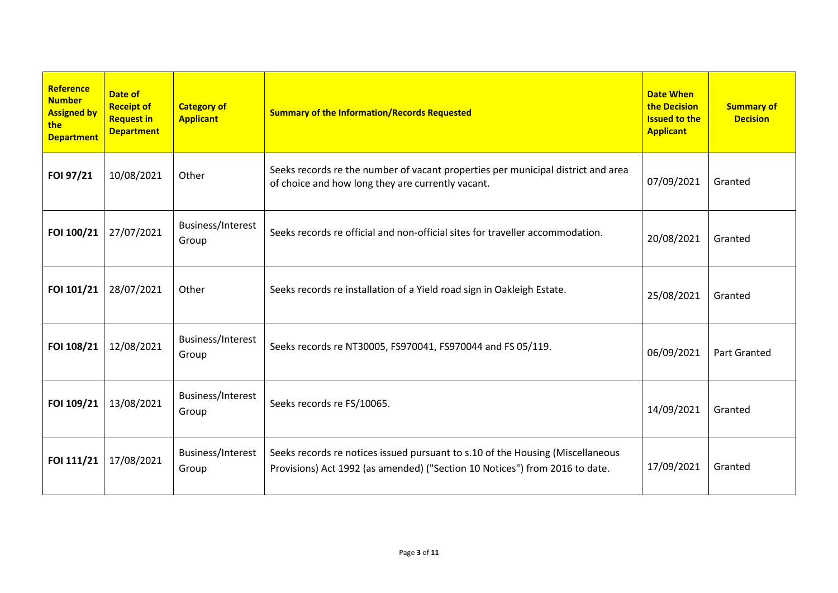| Reference<br><b>Number</b><br><b>Assigned by</b><br>the<br><b>Department</b> | Date of<br><b>Receipt of</b><br><b>Request in</b><br><b>Department</b> | <b>Category of</b><br><b>Applicant</b> | <b>Summary of the Information/Records Requested</b>                                                                                                           | <b>Date When</b><br>the Decision<br><b>Issued to the</b><br><b>Applicant</b> | <b>Summary of</b><br><b>Decision</b> |
|------------------------------------------------------------------------------|------------------------------------------------------------------------|----------------------------------------|---------------------------------------------------------------------------------------------------------------------------------------------------------------|------------------------------------------------------------------------------|--------------------------------------|
| FOI 97/21                                                                    | 10/08/2021                                                             | Other                                  | Seeks records re the number of vacant properties per municipal district and area<br>of choice and how long they are currently vacant.                         | 07/09/2021                                                                   | Granted                              |
| FOI 100/21                                                                   | 27/07/2021                                                             | Business/Interest<br>Group             | Seeks records re official and non-official sites for traveller accommodation.                                                                                 | 20/08/2021                                                                   | Granted                              |
| FOI 101/21                                                                   | 28/07/2021                                                             | Other                                  | Seeks records re installation of a Yield road sign in Oakleigh Estate.                                                                                        | 25/08/2021                                                                   | Granted                              |
| FOI 108/21                                                                   | 12/08/2021                                                             | Business/Interest<br>Group             | Seeks records re NT30005, FS970041, FS970044 and FS 05/119.                                                                                                   | 06/09/2021                                                                   | <b>Part Granted</b>                  |
| FOI 109/21                                                                   | 13/08/2021                                                             | Business/Interest<br>Group             | Seeks records re FS/10065.                                                                                                                                    | 14/09/2021                                                                   | Granted                              |
| FOI 111/21                                                                   | 17/08/2021                                                             | Business/Interest<br>Group             | Seeks records re notices issued pursuant to s.10 of the Housing (Miscellaneous<br>Provisions) Act 1992 (as amended) ("Section 10 Notices") from 2016 to date. | 17/09/2021                                                                   | Granted                              |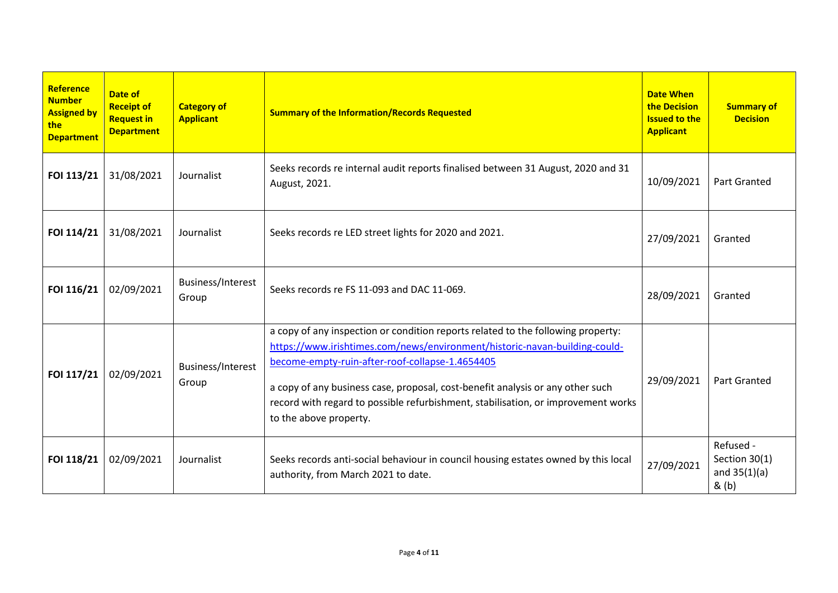| Reference<br><b>Number</b><br><b>Assigned by</b><br>the<br><b>Department</b> | Date of<br><b>Receipt of</b><br><b>Request in</b><br><b>Department</b> | <b>Category of</b><br><b>Applicant</b> | <b>Summary of the Information/Records Requested</b>                                                                                                                                                                                                                                                                                                                                                                | <b>Date When</b><br>the Decision<br><b>Issued to the</b><br><b>Applicant</b> | <b>Summary of</b><br><b>Decision</b>                  |
|------------------------------------------------------------------------------|------------------------------------------------------------------------|----------------------------------------|--------------------------------------------------------------------------------------------------------------------------------------------------------------------------------------------------------------------------------------------------------------------------------------------------------------------------------------------------------------------------------------------------------------------|------------------------------------------------------------------------------|-------------------------------------------------------|
| FOI 113/21                                                                   | 31/08/2021                                                             | Journalist                             | Seeks records re internal audit reports finalised between 31 August, 2020 and 31<br>August, 2021.                                                                                                                                                                                                                                                                                                                  | 10/09/2021                                                                   | <b>Part Granted</b>                                   |
| FOI 114/21                                                                   | 31/08/2021                                                             | Journalist                             | Seeks records re LED street lights for 2020 and 2021.                                                                                                                                                                                                                                                                                                                                                              | 27/09/2021                                                                   | Granted                                               |
| FOI 116/21                                                                   | 02/09/2021                                                             | Business/Interest<br>Group             | Seeks records re FS 11-093 and DAC 11-069.                                                                                                                                                                                                                                                                                                                                                                         | 28/09/2021                                                                   | Granted                                               |
| FOI 117/21                                                                   | 02/09/2021                                                             | Business/Interest<br>Group             | a copy of any inspection or condition reports related to the following property:<br>https://www.irishtimes.com/news/environment/historic-navan-building-could-<br>become-empty-ruin-after-roof-collapse-1.4654405<br>a copy of any business case, proposal, cost-benefit analysis or any other such<br>record with regard to possible refurbishment, stabilisation, or improvement works<br>to the above property. | 29/09/2021                                                                   | <b>Part Granted</b>                                   |
| FOI 118/21                                                                   | 02/09/2021                                                             | Journalist                             | Seeks records anti-social behaviour in council housing estates owned by this local<br>authority, from March 2021 to date.                                                                                                                                                                                                                                                                                          | 27/09/2021                                                                   | Refused -<br>Section 30(1)<br>and $35(1)(a)$<br>& (b) |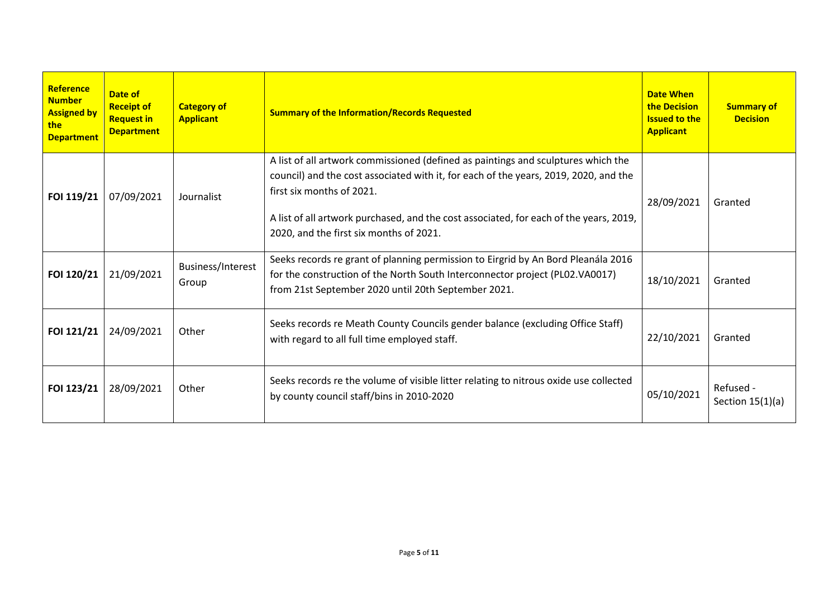| Reference<br><b>Number</b><br><b>Assigned by</b><br>the<br><b>Department</b> | Date of<br><b>Receipt of</b><br><b>Request in</b><br><b>Department</b> | <b>Category of</b><br><b>Applicant</b> | <b>Summary of the Information/Records Requested</b>                                                                                                                                                                                                                                                                                         | <b>Date When</b><br>the Decision<br><b>Issued to the</b><br><b>Applicant</b> | <b>Summary of</b><br><b>Decision</b> |
|------------------------------------------------------------------------------|------------------------------------------------------------------------|----------------------------------------|---------------------------------------------------------------------------------------------------------------------------------------------------------------------------------------------------------------------------------------------------------------------------------------------------------------------------------------------|------------------------------------------------------------------------------|--------------------------------------|
| FOI 119/21                                                                   | 07/09/2021                                                             | Journalist                             | A list of all artwork commissioned (defined as paintings and sculptures which the<br>council) and the cost associated with it, for each of the years, 2019, 2020, and the<br>first six months of 2021.<br>A list of all artwork purchased, and the cost associated, for each of the years, 2019,<br>2020, and the first six months of 2021. | 28/09/2021                                                                   | Granted                              |
| FOI 120/21                                                                   | 21/09/2021                                                             | Business/Interest<br>Group             | Seeks records re grant of planning permission to Eirgrid by An Bord Pleanála 2016<br>for the construction of the North South Interconnector project (PL02.VA0017)<br>from 21st September 2020 until 20th September 2021.                                                                                                                    | 18/10/2021                                                                   | Granted                              |
| FOI 121/21                                                                   | 24/09/2021                                                             | Other                                  | Seeks records re Meath County Councils gender balance (excluding Office Staff)<br>with regard to all full time employed staff.                                                                                                                                                                                                              | 22/10/2021                                                                   | Granted                              |
| FOI 123/21                                                                   | 28/09/2021                                                             | Other                                  | Seeks records re the volume of visible litter relating to nitrous oxide use collected<br>by county council staff/bins in 2010-2020                                                                                                                                                                                                          | 05/10/2021                                                                   | Refused -<br>Section $15(1)(a)$      |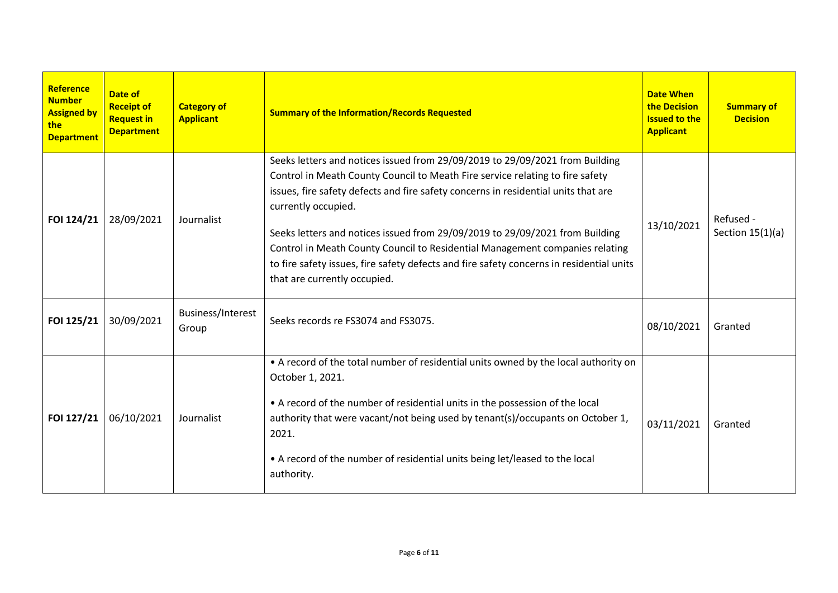| Reference<br><b>Number</b><br><b>Assigned by</b><br>the<br><b>Department</b> | Date of<br><b>Receipt of</b><br><b>Request in</b><br><b>Department</b> | <b>Category of</b><br><b>Applicant</b> | <b>Summary of the Information/Records Requested</b>                                                                                                                                                                                                                                                                                                                                                                                                                                                                                                                    | <b>Date When</b><br>the Decision<br><b>Issued to the</b><br><b>Applicant</b> | <b>Summary of</b><br><b>Decision</b> |
|------------------------------------------------------------------------------|------------------------------------------------------------------------|----------------------------------------|------------------------------------------------------------------------------------------------------------------------------------------------------------------------------------------------------------------------------------------------------------------------------------------------------------------------------------------------------------------------------------------------------------------------------------------------------------------------------------------------------------------------------------------------------------------------|------------------------------------------------------------------------------|--------------------------------------|
| FOI 124/21                                                                   | 28/09/2021                                                             | Journalist                             | Seeks letters and notices issued from 29/09/2019 to 29/09/2021 from Building<br>Control in Meath County Council to Meath Fire service relating to fire safety<br>issues, fire safety defects and fire safety concerns in residential units that are<br>currently occupied.<br>Seeks letters and notices issued from 29/09/2019 to 29/09/2021 from Building<br>Control in Meath County Council to Residential Management companies relating<br>to fire safety issues, fire safety defects and fire safety concerns in residential units<br>that are currently occupied. | 13/10/2021                                                                   | Refused -<br>Section $15(1)(a)$      |
| FOI 125/21                                                                   | 30/09/2021                                                             | Business/Interest<br>Group             | Seeks records re FS3074 and FS3075.                                                                                                                                                                                                                                                                                                                                                                                                                                                                                                                                    | 08/10/2021                                                                   | Granted                              |
| FOI 127/21                                                                   | 06/10/2021                                                             | Journalist                             | • A record of the total number of residential units owned by the local authority on<br>October 1, 2021.<br>• A record of the number of residential units in the possession of the local<br>authority that were vacant/not being used by tenant(s)/occupants on October 1,<br>2021.<br>• A record of the number of residential units being let/leased to the local<br>authority.                                                                                                                                                                                        | 03/11/2021                                                                   | Granted                              |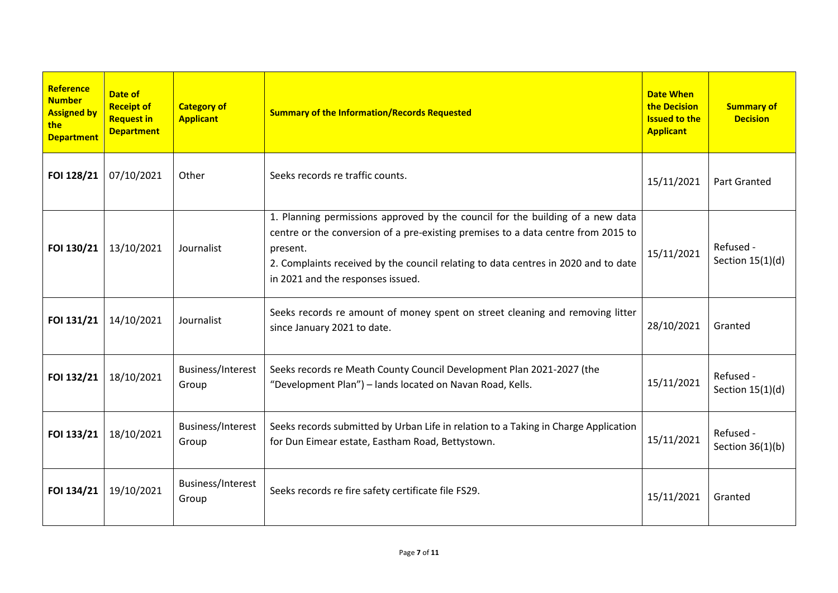| Reference<br><b>Number</b><br><b>Assigned by</b><br>the<br><b>Department</b> | Date of<br><b>Receipt of</b><br><b>Request in</b><br><b>Department</b> | <b>Category of</b><br><b>Applicant</b> | <b>Summary of the Information/Records Requested</b>                                                                                                                                                                                                                                                        | <b>Date When</b><br>the Decision<br><b>Issued to the</b><br><b>Applicant</b> | <b>Summary of</b><br><b>Decision</b> |
|------------------------------------------------------------------------------|------------------------------------------------------------------------|----------------------------------------|------------------------------------------------------------------------------------------------------------------------------------------------------------------------------------------------------------------------------------------------------------------------------------------------------------|------------------------------------------------------------------------------|--------------------------------------|
| FOI 128/21                                                                   | 07/10/2021                                                             | Other                                  | Seeks records re traffic counts.                                                                                                                                                                                                                                                                           | 15/11/2021                                                                   | Part Granted                         |
| FOI 130/21                                                                   | 13/10/2021                                                             | Journalist                             | 1. Planning permissions approved by the council for the building of a new data<br>centre or the conversion of a pre-existing premises to a data centre from 2015 to<br>present.<br>2. Complaints received by the council relating to data centres in 2020 and to date<br>in 2021 and the responses issued. | 15/11/2021                                                                   | Refused -<br>Section $15(1)(d)$      |
| FOI 131/21                                                                   | 14/10/2021                                                             | Journalist                             | Seeks records re amount of money spent on street cleaning and removing litter<br>since January 2021 to date.                                                                                                                                                                                               | 28/10/2021                                                                   | Granted                              |
| FOI 132/21                                                                   | 18/10/2021                                                             | Business/Interest<br>Group             | Seeks records re Meath County Council Development Plan 2021-2027 (the<br>"Development Plan") - lands located on Navan Road, Kells.                                                                                                                                                                         | 15/11/2021                                                                   | Refused -<br>Section $15(1)(d)$      |
| FOI 133/21                                                                   | 18/10/2021                                                             | Business/Interest<br>Group             | Seeks records submitted by Urban Life in relation to a Taking in Charge Application<br>for Dun Eimear estate, Eastham Road, Bettystown.                                                                                                                                                                    | 15/11/2021                                                                   | Refused -<br>Section $36(1)(b)$      |
| FOI 134/21                                                                   | 19/10/2021                                                             | Business/Interest<br>Group             | Seeks records re fire safety certificate file FS29.                                                                                                                                                                                                                                                        | 15/11/2021                                                                   | Granted                              |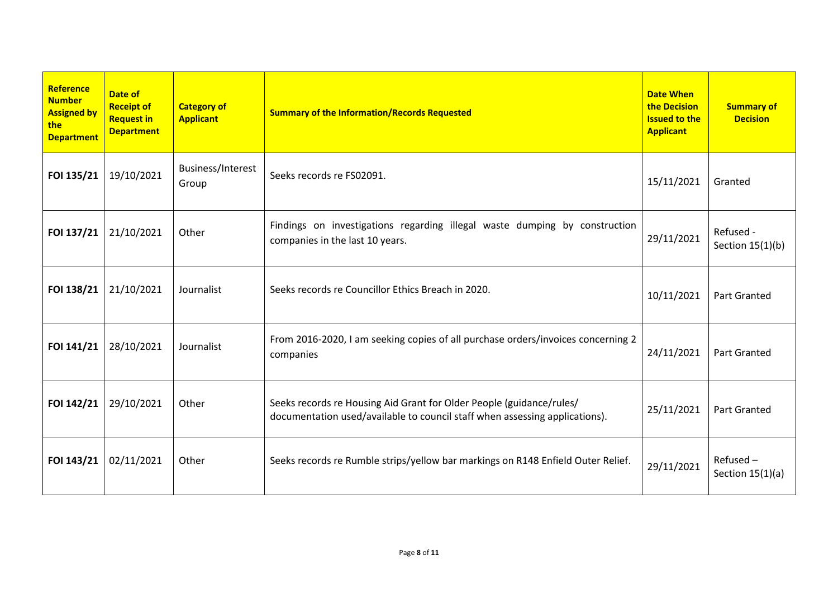| Reference<br><b>Number</b><br><b>Assigned by</b><br>the<br><b>Department</b> | Date of<br><b>Receipt of</b><br><b>Request in</b><br><b>Department</b> | <b>Category of</b><br><b>Applicant</b> | <b>Summary of the Information/Records Requested</b>                                                                                                 | <b>Date When</b><br>the Decision<br><b>Issued to the</b><br><b>Applicant</b> | <b>Summary of</b><br><b>Decision</b> |
|------------------------------------------------------------------------------|------------------------------------------------------------------------|----------------------------------------|-----------------------------------------------------------------------------------------------------------------------------------------------------|------------------------------------------------------------------------------|--------------------------------------|
| FOI 135/21                                                                   | 19/10/2021                                                             | Business/Interest<br>Group             | Seeks records re FS02091.                                                                                                                           | 15/11/2021                                                                   | Granted                              |
| FOI 137/21                                                                   | 21/10/2021                                                             | Other                                  | Findings on investigations regarding illegal waste dumping by construction<br>companies in the last 10 years.                                       | 29/11/2021                                                                   | Refused -<br>Section $15(1)(b)$      |
| FOI 138/21                                                                   | 21/10/2021                                                             | Journalist                             | Seeks records re Councillor Ethics Breach in 2020.                                                                                                  | 10/11/2021                                                                   | <b>Part Granted</b>                  |
| FOI 141/21                                                                   | 28/10/2021                                                             | Journalist                             | From 2016-2020, I am seeking copies of all purchase orders/invoices concerning 2<br>companies                                                       | 24/11/2021                                                                   | Part Granted                         |
| FOI 142/21                                                                   | 29/10/2021                                                             | Other                                  | Seeks records re Housing Aid Grant for Older People (guidance/rules/<br>documentation used/available to council staff when assessing applications). | 25/11/2021                                                                   | <b>Part Granted</b>                  |
| FOI 143/21                                                                   | 02/11/2021                                                             | Other                                  | Seeks records re Rumble strips/yellow bar markings on R148 Enfield Outer Relief.                                                                    | 29/11/2021                                                                   | Refused-<br>Section $15(1)(a)$       |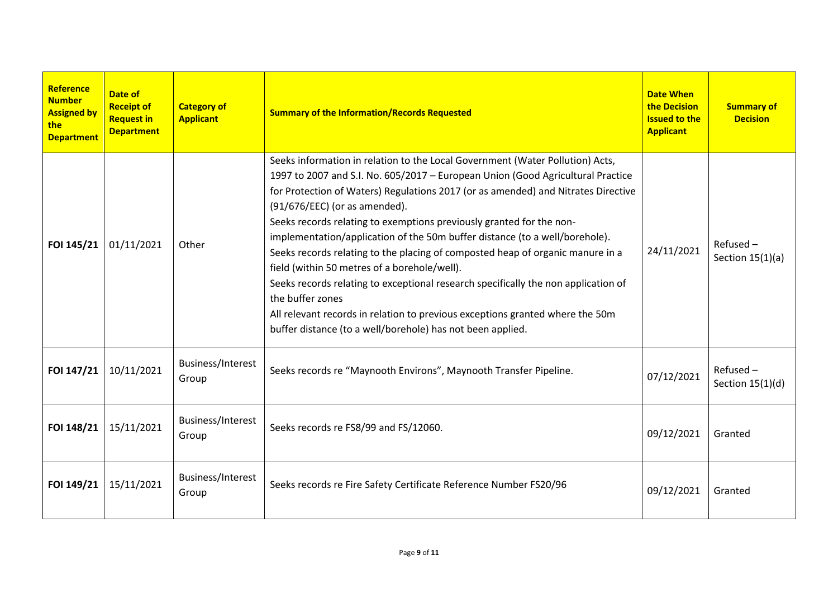| <b>Reference</b><br><b>Number</b><br><b>Assigned by</b><br>the l<br><b>Department</b> | Date of<br><b>Receipt of</b><br><b>Request in</b><br><b>Department</b> | <b>Category of</b><br><b>Applicant</b> | <b>Summary of the Information/Records Requested</b>                                                                                                                                                                                                                                                                                                                                                                                                                                                                                                                                                                                                                                                                                                                                                                                      | <b>Date When</b><br>the Decision<br><b>Issued to the</b><br><b>Applicant</b> | <b>Summary of</b><br><b>Decision</b> |
|---------------------------------------------------------------------------------------|------------------------------------------------------------------------|----------------------------------------|------------------------------------------------------------------------------------------------------------------------------------------------------------------------------------------------------------------------------------------------------------------------------------------------------------------------------------------------------------------------------------------------------------------------------------------------------------------------------------------------------------------------------------------------------------------------------------------------------------------------------------------------------------------------------------------------------------------------------------------------------------------------------------------------------------------------------------------|------------------------------------------------------------------------------|--------------------------------------|
| FOI 145/21                                                                            | 01/11/2021                                                             | Other                                  | Seeks information in relation to the Local Government (Water Pollution) Acts,<br>1997 to 2007 and S.I. No. 605/2017 - European Union (Good Agricultural Practice<br>for Protection of Waters) Regulations 2017 (or as amended) and Nitrates Directive<br>(91/676/EEC) (or as amended).<br>Seeks records relating to exemptions previously granted for the non-<br>implementation/application of the 50m buffer distance (to a well/borehole).<br>Seeks records relating to the placing of composted heap of organic manure in a<br>field (within 50 metres of a borehole/well).<br>Seeks records relating to exceptional research specifically the non application of<br>the buffer zones<br>All relevant records in relation to previous exceptions granted where the 50m<br>buffer distance (to a well/borehole) has not been applied. | 24/11/2021                                                                   | $Refused -$<br>Section $15(1)(a)$    |
| FOI 147/21                                                                            | 10/11/2021                                                             | Business/Interest<br>Group             | Seeks records re "Maynooth Environs", Maynooth Transfer Pipeline.                                                                                                                                                                                                                                                                                                                                                                                                                                                                                                                                                                                                                                                                                                                                                                        | 07/12/2021                                                                   | $Refused -$<br>Section $15(1)(d)$    |
| FOI 148/21                                                                            | 15/11/2021                                                             | Business/Interest<br>Group             | Seeks records re FS8/99 and FS/12060.                                                                                                                                                                                                                                                                                                                                                                                                                                                                                                                                                                                                                                                                                                                                                                                                    | 09/12/2021                                                                   | Granted                              |
| FOI 149/21                                                                            | 15/11/2021                                                             | Business/Interest<br>Group             | Seeks records re Fire Safety Certificate Reference Number FS20/96                                                                                                                                                                                                                                                                                                                                                                                                                                                                                                                                                                                                                                                                                                                                                                        | 09/12/2021                                                                   | Granted                              |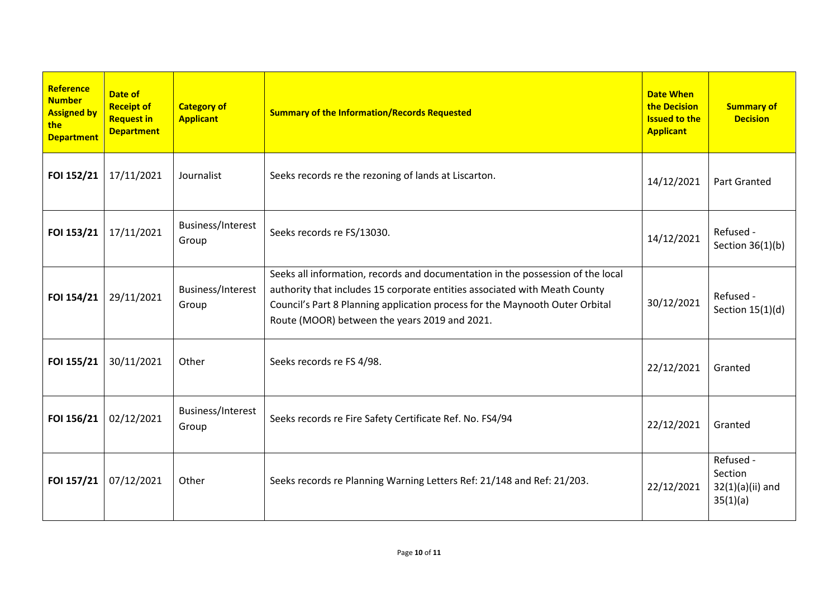| Reference<br><b>Number</b><br><b>Assigned by</b><br>the<br><b>Department</b> | Date of<br><b>Receipt of</b><br><b>Request in</b><br><b>Department</b> | <b>Category of</b><br><b>Applicant</b> | <b>Summary of the Information/Records Requested</b>                                                                                                                                                                                                                                            | <b>Date When</b><br>the Decision<br><b>Issued to the</b><br><b>Applicant</b> | <b>Summary of</b><br><b>Decision</b>                   |
|------------------------------------------------------------------------------|------------------------------------------------------------------------|----------------------------------------|------------------------------------------------------------------------------------------------------------------------------------------------------------------------------------------------------------------------------------------------------------------------------------------------|------------------------------------------------------------------------------|--------------------------------------------------------|
| FOI 152/21                                                                   | 17/11/2021                                                             | Journalist                             | Seeks records re the rezoning of lands at Liscarton.                                                                                                                                                                                                                                           | 14/12/2021                                                                   | <b>Part Granted</b>                                    |
| FOI 153/21                                                                   | 17/11/2021                                                             | Business/Interest<br>Group             | Seeks records re FS/13030.                                                                                                                                                                                                                                                                     | 14/12/2021                                                                   | Refused -<br>Section $36(1)(b)$                        |
| FOI 154/21                                                                   | 29/11/2021                                                             | Business/Interest<br>Group             | Seeks all information, records and documentation in the possession of the local<br>authority that includes 15 corporate entities associated with Meath County<br>Council's Part 8 Planning application process for the Maynooth Outer Orbital<br>Route (MOOR) between the years 2019 and 2021. | 30/12/2021                                                                   | Refused -<br>Section $15(1)(d)$                        |
| FOI 155/21                                                                   | 30/11/2021                                                             | Other                                  | Seeks records re FS 4/98.                                                                                                                                                                                                                                                                      | 22/12/2021                                                                   | Granted                                                |
| FOI 156/21                                                                   | 02/12/2021                                                             | Business/Interest<br>Group             | Seeks records re Fire Safety Certificate Ref. No. FS4/94                                                                                                                                                                                                                                       | 22/12/2021                                                                   | Granted                                                |
| FOI 157/21                                                                   | 07/12/2021                                                             | Other                                  | Seeks records re Planning Warning Letters Ref: 21/148 and Ref: 21/203.                                                                                                                                                                                                                         | 22/12/2021                                                                   | Refused -<br>Section<br>$32(1)(a)(ii)$ and<br>35(1)(a) |